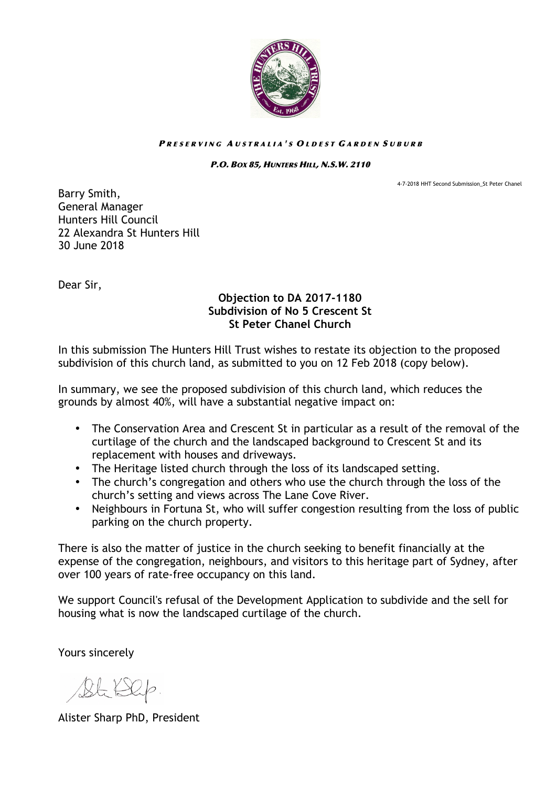

## PRESERVING AUSTRALIA'S OLDEST GARDEN SUBURB

## P.O. BOX 85, HUNTERS HILL, N.S.W. 2110

4-7-2018 HHT Second Submission St Peter Chanel

Barry Smith, General Manager Hunters Hill Council 22 Alexandra St Hunters Hill 30 June 2018

Dear Sir,

## **Objection to DA 2017-1180 Subdivision of No 5 Crescent St St Peter Chanel Church**

In this submission The Hunters Hill Trust wishes to restate its objection to the proposed subdivision of this church land, as submitted to you on 12 Feb 2018 (copy below).

In summary, we see the proposed subdivision of this church land, which reduces the grounds by almost 40%, will have a substantial negative impact on:

- The Conservation Area and Crescent St in particular as a result of the removal of the curtilage of the church and the landscaped background to Crescent St and its replacement with houses and driveways.
- The Heritage listed church through the loss of its landscaped setting.
- The church's congregation and others who use the church through the loss of the church's setting and views across The Lane Cove River.
- Neighbours in Fortuna St, who will suffer congestion resulting from the loss of public parking on the church property.

There is also the matter of justice in the church seeking to benefit financially at the expense of the congregation, neighbours, and visitors to this heritage part of Sydney, after over 100 years of rate-free occupancy on this land.

We support Council's refusal of the Development Application to subdivide and the sell for housing what is now the landscaped curtilage of the church.

Yours sincerely

Bt Dep.

Alister Sharp PhD, President